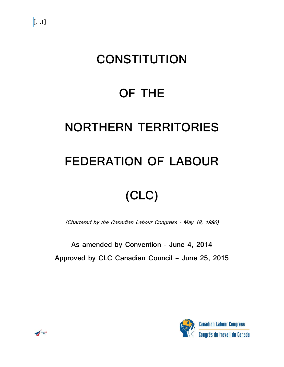## **CONSTITUTION**

### **OF THE**

### **NORTHERN TERRITORIES**

### **FEDERATION OF LABOUR**

# **(CLC)**

**(Chartered by the Canadian Labour Congress - May 18, 1980)**

**As amended by Convention - June 4, 2014 Approved by CLC Canadian Council – June 25, 2015**



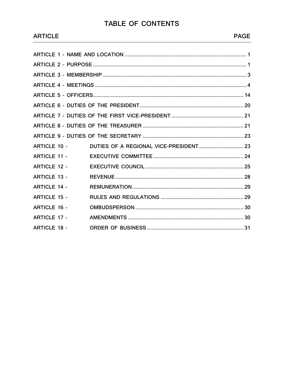### $T/$

|  | ABLE OF CONTENTS |  |
|--|------------------|--|
|  |                  |  |

| ARTICLE 10 -        |  |
|---------------------|--|
| <b>ARTICLE 11 -</b> |  |
| <b>ARTICLE 12 -</b> |  |
| <b>ARTICLE 13 -</b> |  |
| <b>ARTICLE 14 -</b> |  |
| <b>ARTICLE 15 -</b> |  |
| <b>ARTICLE 16 -</b> |  |
| <b>ARTICLE 17 -</b> |  |
| <b>ARTICLE 18 -</b> |  |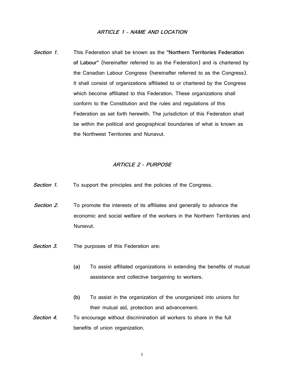#### **ARTICLE 1 - NAME AND LOCATION**

**Section 1.** This Federation shall be known as the **"Northern Territories Federation of Labour"** (hereinafter referred to as the Federation) and is chartered by the Canadian Labour Congress (hereinafter referred to as the Congress). It shall consist of organizations affiliated to or chartered by the Congress which become affiliated to this Federation. These organizations shall conform to the Constitution and the rules and regulations of this Federation as set forth herewith. The jurisdiction of this Federation shall be within the political and geographical boundaries of what is known as the Northwest Territories and Nunavut.

#### **ARTICLE 2 - PURPOSE**

- **Section 1.** To support the principles and the policies of the Congress.
- **Section 2.** To promote the interests of its affiliates and generally to advance the economic and social welfare of the workers in the Northern Territories and Nunavut.
- **Section 3.** The purposes of this Federation are:
	- **(a)** To assist affiliated organizations in extending the benefits of mutual assistance and collective bargaining to workers.
	- **(b)** To assist in the organization of the unorganized into unions for their mutual aid, protection and advancement.
- **Section 4.** To encourage without discrimination all workers to share in the full benefits of union organization.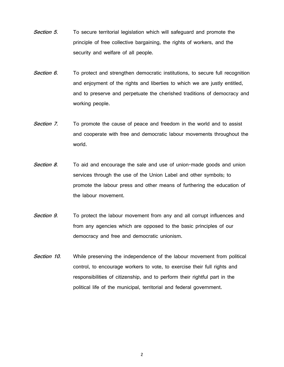- **Section 5.** To secure territorial legislation which will safeguard and promote the principle of free collective bargaining, the rights of workers, and the security and welfare of all people.
- **Section 6.** To protect and strengthen democratic institutions, to secure full recognition and enjoyment of the rights and liberties to which we are justly entitled, and to preserve and perpetuate the cherished traditions of democracy and working people.
- **Section 7.** To promote the cause of peace and freedom in the world and to assist and cooperate with free and democratic labour movements throughout the world.
- **Section 8.** To aid and encourage the sale and use of union-made goods and union services through the use of the Union Label and other symbols; to promote the labour press and other means of furthering the education of the labour movement.
- **Section 9.** To protect the labour movement from any and all corrupt influences and from any agencies which are opposed to the basic principles of our democracy and free and democratic unionism.
- **Section 10.** While preserving the independence of the labour movement from political control, to encourage workers to vote, to exercise their full rights and responsibilities of citizenship, and to perform their rightful part in the political life of the municipal, territorial and federal government.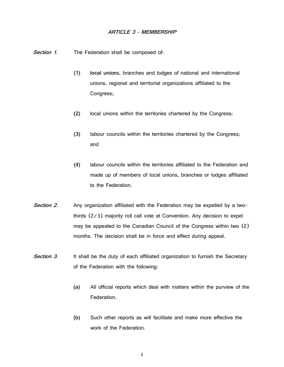#### **ARTICLE 3 - MEMBERSHIP**

Section 1. The Federation shall be composed of:

- **(1) local union**s, branches and lodges of national and international unions, regional and territorial organizations affiliated to the Congress;
- **(2)** local unions within the territories chartered by the Congress;
- **(3)** labour councils within the territories chartered by the Congress; and
- **(4)** labour councils within the territories affiliated to the Federation and made up of members of local unions, branches or lodges affiliated to the Federation.
- Section 2. Any organization affiliated with the Federation may be expelled by a twothirds (2/3) majority roll call vote at Convention. Any decision to expel may be appealed to the Canadian Council of the Congress within two (2) months. The decision shall be in force and effect during appeal.
- **Section 3.** It shall be the duty of each affiliated organization to furnish the Secretary of the Federation with the following:
	- **(a)** All official reports which deal with matters within the purview of the Federation.
	- **(b)** Such other reports as will facilitate and make more effective the work of the Federation.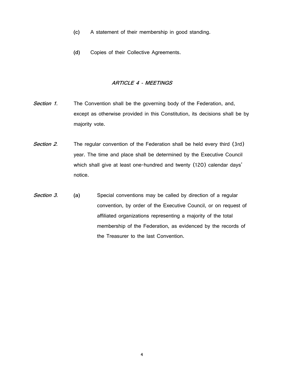- **(c)** A statement of their membership in good standing.
- **(d)** Copies of their Collective Agreements.

#### **ARTICLE 4 - MEETINGS**

- **Section 1.** The Convention shall be the governing body of the Federation, and, except as otherwise provided in this Constitution, its decisions shall be by majority vote.
- **Section 2.** The regular convention of the Federation shall be held every third (3rd) year. The time and place shall be determined by the Executive Council which shall give at least one-hundred and twenty (120) calendar days' notice.
- **Section 3. (a)** Special conventions may be called by direction of a regular convention, by order of the Executive Council, or on request of affiliated organizations representing a majority of the total membership of the Federation, as evidenced by the records of the Treasurer to the last Convention.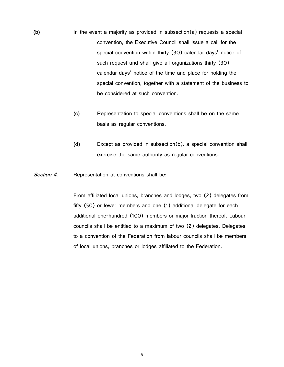- **(b)** In the event a majority as provided in subsection(a) requests a special convention, the Executive Council shall issue a call for the special convention within thirty (30) calendar days' notice of such request and shall give all organizations thirty (30) calendar days' notice of the time and place for holding the special convention, together with a statement of the business to be considered at such convention.
	- **(c)** Representation to special conventions shall be on the same basis as regular conventions.
	- **(d)** Except as provided in subsection(b), a special convention shall exercise the same authority as regular conventions.

**Section 4.** Representation at conventions shall be:

From affiliated local unions, branches and lodges, two (2) delegates from fifty (50) or fewer members and one (1) additional delegate for each additional one-hundred (100) members or major fraction thereof. Labour councils shall be entitled to a maximum of two (2) delegates. Delegates to a convention of the Federation from labour councils shall be members of local unions, branches or lodges affiliated to the Federation.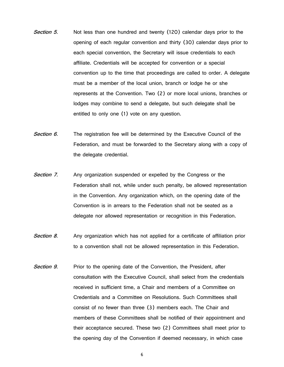- **Section 5.** Not less than one hundred and twenty (120) calendar days prior to the opening of each regular convention and thirty (30) calendar days prior to each special convention, the Secretary will issue credentials to each affiliate. Credentials will be accepted for convention or a special convention up to the time that proceedings are called to order. A delegate must be a member of the local union, branch or lodge he or she represents at the Convention. Two (2) or more local unions, branches or lodges may combine to send a delegate, but such delegate shall be entitled to only one (1) vote on any question.
- Section 6. The registration fee will be determined by the Executive Council of the Federation, and must be forwarded to the Secretary along with a copy of the delegate credential.
- **Section 7.** Any organization suspended or expelled by the Congress or the Federation shall not, while under such penalty, be allowed representation in the Convention. Any organization which, on the opening date of the Convention is in arrears to the Federation shall not be seated as a delegate nor allowed representation or recognition in this Federation.
- **Section 8.** Any organization which has not applied for a certificate of affiliation prior to a convention shall not be allowed representation in this Federation.
- **Section 9.** Prior to the opening date of the Convention, the President, after consultation with the Executive Council, shall select from the credentials received in sufficient time, a Chair and members of a Committee on Credentials and a Committee on Resolutions. Such Committees shall consist of no fewer than three (3) members each. The Chair and members of these Committees shall be notified of their appointment and their acceptance secured. These two (2) Committees shall meet prior to the opening day of the Convention if deemed necessary, in which case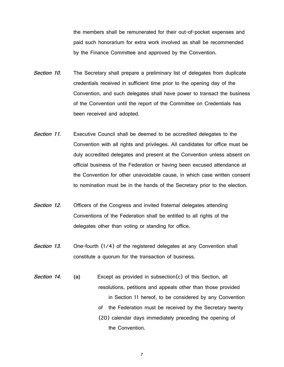the members shall be remunerated for their out-of-pocket expenses and paid such honorarium for extra work involved as shall be recommended by the Finance Committee and approved by the Convention.

- **Section 10.** The Secretary shall prepare a preliminary list of delegates from duplicate credentials received in sufficient time prior to the opening day of the Convention, and such delegates shall have power to transact the business of the Convention until the report of the Committee on Credentials has been received and adopted.
- **Section 11.** Executive Council shall be deemed to be accredited delegates to the Convention with all rights and privileges. All candidates for office must be duly accredited delegates and present at the Convention unless absent on official business of the Federation or having been excused attendance at the Convention for other unavoidable cause, in which case written consent to nomination must be in the hands of the Secretary prior to the election.
- **Section 12.** Officers of the Congress and invited fraternal delegates attending Conventions of the Federation shall be entitled to all rights of the delegates other than voting or standing for office.
- **Section 13.** One-fourth (1/4) of the registered delegates at any Convention shall constitute a quorum for the transaction of business.
- **Section 14. (a)** Except as provided in subsection(c) of this Section, all resolutions, petitions and appeals other than those provided in Section 11 hereof, to be considered by any Convention of the Federation must be received by the Secretary twenty (20) calendar days immediately preceding the opening of the Convention.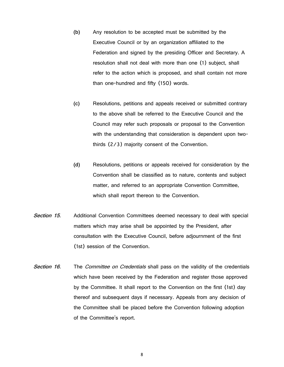- **(b)** Any resolution to be accepted must be submitted by the Executive Council or by an organization affiliated to the Federation and signed by the presiding Officer and Secretary. A resolution shall not deal with more than one (1) subject, shall refer to the action which is proposed, and shall contain not more than one-hundred and fifty (150) words.
- **(c)** Resolutions, petitions and appeals received or submitted contrary to the above shall be referred to the Executive Council and the Council may refer such proposals or proposal to the Convention with the understanding that consideration is dependent upon twothirds (2/3) majority consent of the Convention.
- **(d)** Resolutions, petitions or appeals received for consideration by the Convention shall be classified as to nature, contents and subject matter, and referred to an appropriate Convention Committee, which shall report thereon to the Convention.
- **Section 15.** Additional Convention Committees deemed necessary to deal with special matters which may arise shall be appointed by the President, after consultation with the Executive Council, before adjournment of the first (1st) session of the Convention.
- **Section 16.** The *Committee on Credentials* shall pass on the validity of the credentials which have been received by the Federation and register those approved by the Committee. It shall report to the Convention on the first (1st) day thereof and subsequent days if necessary. Appeals from any decision of the Committee shall be placed before the Convention following adoption of the Committee's report.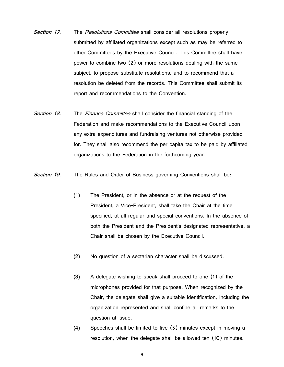- **Section 17.** The Resolutions Committee shall consider all resolutions properly submitted by affiliated organizations except such as may be referred to other Committees by the Executive Council. This Committee shall have power to combine two (2) or more resolutions dealing with the same subject, to propose substitute resolutions, and to recommend that a resolution be deleted from the records. This Committee shall submit its report and recommendations to the Convention.
- **Section 18.** The Finance Committee shall consider the financial standing of the Federation and make recommendations to the Executive Council upon any extra expenditures and fundraising ventures not otherwise provided for. They shall also recommend the per capita tax to be paid by affiliated organizations to the Federation in the forthcoming year.
- **Section 19.** The Rules and Order of Business governing Conventions shall be:
	- **(1)** The President, or in the absence or at the request of the President, a Vice-President, shall take the Chair at the time specified, at all regular and special conventions. In the absence of both the President and the President's designated representative, a Chair shall be chosen by the Executive Council.
	- **(2)** No question of a sectarian character shall be discussed.
	- **(3)** A delegate wishing to speak shall proceed to one (1) of the microphones provided for that purpose. When recognized by the Chair, the delegate shall give a suitable identification, including the organization represented and shall confine all remarks to the question at issue.
	- **(4)** Speeches shall be limited to five (5) minutes except in moving a resolution, when the delegate shall be allowed ten (10) minutes.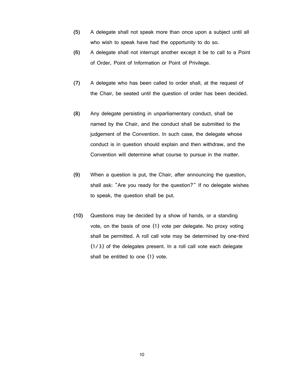- **(5)** A delegate shall not speak more than once upon a subject until all who wish to speak have had the opportunity to do so.
- **(6)** A delegate shall not interrupt another except it be to call to a Point of Order, Point of Information or Point of Privilege.
- **(7)** A delegate who has been called to order shall, at the request of the Chair, be seated until the question of order has been decided.
- **(8)** Any delegate persisting in unparliamentary conduct, shall be named by the Chair, and the conduct shall be submitted to the judgement of the Convention. In such case, the delegate whose conduct is in question should explain and then withdraw, and the Convention will determine what course to pursue in the matter.
- **(9)** When a question is put, the Chair, after announcing the question, shall ask: "Are you ready for the question?" If no delegate wishes to speak, the question shall be put.
- **(10)** Questions may be decided by a show of hands, or a standing vote, on the basis of one (1) vote per delegate. No proxy voting shall be permitted. A roll call vote may be determined by one-third (1/3) of the delegates present. In a roll call vote each delegate shall be entitled to one (1) vote.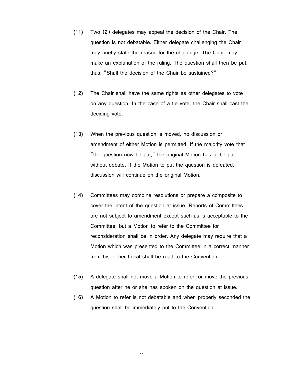- **(11)** Two (2) delegates may appeal the decision of the Chair. The question is not debatable. Either delegate challenging the Chair may briefly state the reason for the challenge. The Chair may make an explanation of the ruling. The question shall then be put, thus, "Shall the decision of the Chair be sustained?"
- **(12)** The Chair shall have the same rights as other delegates to vote on any question. In the case of a tie vote, the Chair shall cast the deciding vote.
- **(13)** When the previous question is moved, no discussion or amendment of either Motion is permitted. If the majority vote that "the question now be put," the original Motion has to be put without debate. If the Motion to put the question is defeated, discussion will continue on the original Motion.
- **(14)** Committees may combine resolutions or prepare a composite to cover the intent of the question at issue. Reports of Committees are not subject to amendment except such as is acceptable to the Committee, but a Motion to refer to the Committee for reconsideration shall be in order. Any delegate may require that a Motion which was presented to the Committee in a correct manner from his or her Local shall be read to the Convention.
- **(15)** A delegate shall not move a Motion to refer, or move the previous question after he or she has spoken on the question at issue.
- **(16)** A Motion to refer is not debatable and when properly seconded the question shall be immediately put to the Convention.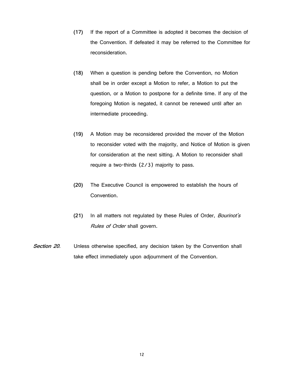- **(17)** If the report of a Committee is adopted it becomes the decision of the Convention. If defeated it may be referred to the Committee for reconsideration.
- **(18)** When a question is pending before the Convention, no Motion shall be in order except a Motion to refer, a Motion to put the question, or a Motion to postpone for a definite time. If any of the foregoing Motion is negated, it cannot be renewed until after an intermediate proceeding.
- **(19)** A Motion may be reconsidered provided the mover of the Motion to reconsider voted with the majority, and Notice of Motion is given for consideration at the next sitting. A Motion to reconsider shall require a two-thirds (2/3) majority to pass.
- **(20)** The Executive Council is empowered to establish the hours of Convention.
- **(21)** In all matters not regulated by these Rules of Order, Bourinot's Rules of Order shall govern.
- **Section 20.** Unless otherwise specified, any decision taken by the Convention shall take effect immediately upon adjournment of the Convention.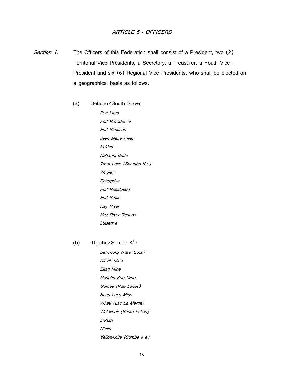#### **ARTICLE 5 - OFFICERS**

- Section 1. The Officers of this Federation shall consist of a President, two (2) Territorial Vice-Presidents, a Secretary, a Treasurer, a Youth Vice-President and six (6) Regional Vice-Presidents, who shall be elected on a geographical basis as follows:
	- **(a)** Dehcho/South Slave Fort Liard Fort Providence Fort Simpson Jean Marie River Kakisa Nahanni Butte Trout Lake (Saamba K'e) **Wrigley Enterprise** Fort Resolution Fort Smith Hay River Hay River Reserve Lutselk'e

#### **(b)** Tł į chǫ/Sombe K'e

Behchok*ǫ* (Rae/Edzo) Diavik Mine Ekati Mine Gahcho Kuè Mine Gamèti (Rae Lakes) Snap Lake Mine Whati (Lac La Martre) Wekweèti (Snare Lakes) Dettah N'dilo Yellowknife (Sombe K'e)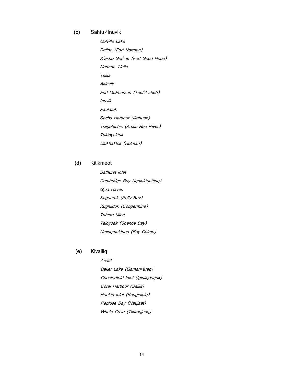#### **(c)** Sahtu/Inuvik

Colville Lake Deline (Fort Norman) K'asho Got'ine (Fort Good Hope) Norman Wells Tulita Aklavik Fort McPherson (Teel'it zheh) Inuvik Paulatuk Sachs Harbour (Ikahuak) Tsiigehtchic (Arctic Red River) Tuktoyaktuk Ulukhaktok (Holman)

#### **(d)** Kitikmeot

Bathurst Inlet Cambridge Bay (Iqaluktuuttiaq) Gjoa Haven Kugaaruk (Pelly Bay) Kugluktuk (Coppermine) Tahera Mine Taloyoak (Spence Bay) Umingmaktuuq (Bay Chimo)

#### **(e)** Kivalliq

Arviat Baker Lake (Qamani'tuaq) Chesterfield Inlet (Igluligaarjuk) Coral Harbour (Salliit) Rankin Inlet (Kangiqiniq) Repluse Bay (Naujaat) Whale Cove (Tikiraqjuaq)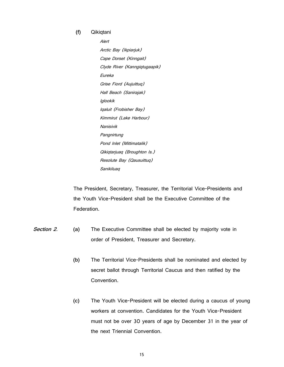**(f)** Qikiqtani

Alert Arctic Bay (Ikpiarjuk) Cape Dorset (Kinngait) Clyde River (Kanngiqtugaapik) Eureka Grise Fiord (Aujuittuq) Hall Beach (Sanirajak) Iglookik Iqaluit (Frobisher Bay) Kimmirut (Lake Harbour) Nanisivik Pangnirtung Pond Inlet (Mittimatalik) Qikiqtarjuaq (Broughton Is.) Resolute Bay (Qausuittuq) Sanikiluaq

The President, Secretary, Treasurer, the Territorial Vice-Presidents and the Youth Vice-President shall be the Executive Committee of the Federation.

- **Section 2. (a)** The Executive Committee shall be elected by majority vote in order of President, Treasurer and Secretary.
	- **(b)** The Territorial Vice-Presidents shall be nominated and elected by secret ballot through Territorial Caucus and then ratified by the Convention.
	- **(c)** The Youth Vice-President will be elected during a caucus of young workers at convention. Candidates for the Youth Vice-President must not be over 30 years of age by December 31 in the year of the next Triennial Convention.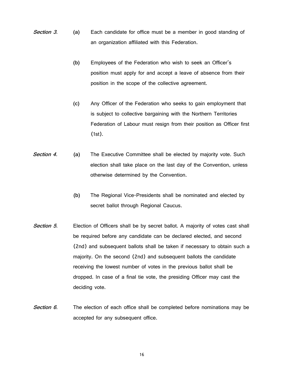- **Section 3. (a)** Each candidate for office must be a member in good standing of an organization affiliated with this Federation.
	- **(b)** Employees of the Federation who wish to seek an Officer's position must apply for and accept a leave of absence from their position in the scope of the collective agreement.
	- **(c)** Any Officer of the Federation who seeks to gain employment that is subject to collective bargaining with the Northern Territories Federation of Labour must resign from their position as Officer first (1st).
- **Section 4. (a)** The Executive Committee shall be elected by majority vote. Such election shall take place on the last day of the Convention, unless otherwise determined by the Convention.
	- **(b)** The Regional Vice-Presidents shall be nominated and elected by secret ballot through Regional Caucus.
- **Section 5.** Election of Officers shall be by secret ballot. A majority of votes cast shall be required before any candidate can be declared elected, and second (2nd) and subsequent ballots shall be taken if necessary to obtain such a majority. On the second (2nd) and subsequent ballots the candidate receiving the lowest number of votes in the previous ballot shall be dropped. In case of a final tie vote, the presiding Officer may cast the deciding vote.
- **Section 6.** The election of each office shall be completed before nominations may be accepted for any subsequent office.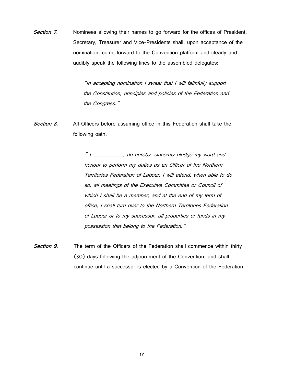**Section 7.** Nominees allowing their names to go forward for the offices of President, Secretary, Treasurer and Vice-Presidents shall, upon acceptance of the nomination, come forward to the Convention platform and clearly and audibly speak the following lines to the assembled delegates:

> "In accepting nomination I swear that I will faithfully support the Constitution, principles and policies of the Federation and the Congress."

**Section 8.** All Officers before assuming office in this Federation shall take the following oath:

> " I \_\_\_\_\_\_\_\_, do hereby, sincerely pledge my word and honour to perform my duties as an Officer of the Northern Territories Federation of Labour. I will attend, when able to do so, all meetings of the Executive Committee or Council of which I shall be a member, and at the end of my term of office, I shall turn over to the Northern Territories Federation of Labour or to my successor, all properties or funds in my possession that belong to the Federation."

**Section 9.** The term of the Officers of the Federation shall commence within thirty (30) days following the adjournment of the Convention, and shall continue until a successor is elected by a Convention of the Federation.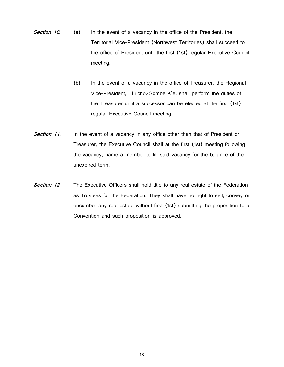- **Section 10. (a)** In the event of a vacancy in the office of the President, the Territorial Vice-President (Northwest Territories) shall succeed to the office of President until the first (1st) regular Executive Council meeting.
	- **(b)** In the event of a vacancy in the office of Treasurer, the Regional Vice-President, Tł į chǫ/Sombe K'e, shall perform the duties of the Treasurer until a successor can be elected at the first (1st) regular Executive Council meeting.
- **Section 11.** In the event of a vacancy in any office other than that of President or Treasurer, the Executive Council shall at the first (1st) meeting following the vacancy, name a member to fill said vacancy for the balance of the unexpired term.
- **Section 12.** The Executive Officers shall hold title to any real estate of the Federation as Trustees for the Federation. They shall have no right to sell, convey or encumber any real estate without first (1st) submitting the proposition to a Convention and such proposition is approved.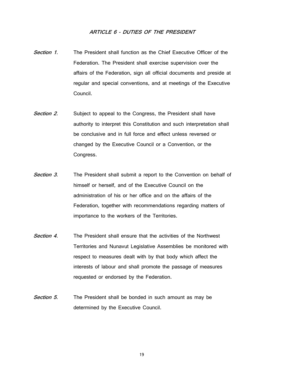#### **ARTICLE 6 - DUTIES OF THE PRESIDENT**

- **Section 1.** The President shall function as the Chief Executive Officer of the Federation. The President shall exercise supervision over the affairs of the Federation, sign all official documents and preside at regular and special conventions, and at meetings of the Executive Council.
- **Section 2.** Subject to appeal to the Congress, the President shall have authority to interpret this Constitution and such interpretation shall be conclusive and in full force and effect unless reversed or changed by the Executive Council or a Convention, or the Congress.
- **Section 3.** The President shall submit a report to the Convention on behalf of himself or herself, and of the Executive Council on the administration of his or her office and on the affairs of the Federation, together with recommendations regarding matters of importance to the workers of the Territories.
- **Section 4.** The President shall ensure that the activities of the Northwest Territories and Nunavut Legislative Assemblies be monitored with respect to measures dealt with by that body which affect the interests of labour and shall promote the passage of measures requested or endorsed by the Federation.
- **Section 5.** The President shall be bonded in such amount as may be determined by the Executive Council.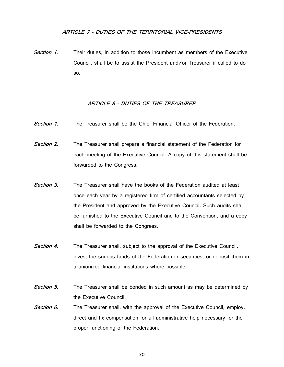#### **ARTICLE 7 - DUTIES OF THE TERRITORIAL VICE-PRESIDENTS**

**Section 1.** Their duties, in addition to those incumbent as members of the Executive Council, shall be to assist the President and/or Treasurer if called to do so.

#### **ARTICLE 8 - DUTIES OF THE TREASURER**

**Section 1.** The Treasurer shall be the Chief Financial Officer of the Federation.

**Section 2.** The Treasurer shall prepare a financial statement of the Federation for each meeting of the Executive Council. A copy of this statement shall be forwarded to the Congress.

- **Section 3.** The Treasurer shall have the books of the Federation audited at least once each year by a registered firm of certified accountants selected by the President and approved by the Executive Council. Such audits shall be furnished to the Executive Council and to the Convention, and a copy shall be forwarded to the Congress.
- **Section 4.** The Treasurer shall, subject to the approval of the Executive Council, invest the surplus funds of the Federation in securities, or deposit them in a unionized financial institutions where possible.
- **Section 5.** The Treasurer shall be bonded in such amount as may be determined by the Executive Council.
- Section 6. The Treasurer shall, with the approval of the Executive Council, employ, direct and fix compensation for all administrative help necessary for the proper functioning of the Federation.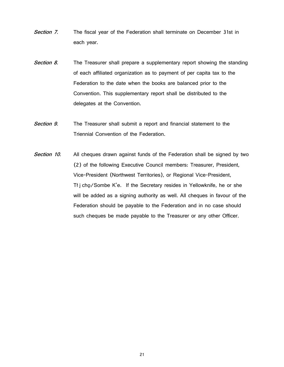- **Section 7.** The fiscal year of the Federation shall terminate on December 31st in each year.
- **Section 8.** The Treasurer shall prepare a supplementary report showing the standing of each affiliated organization as to payment of per capita tax to the Federation to the date when the books are balanced prior to the Convention. This supplementary report shall be distributed to the delegates at the Convention.
- **Section 9.** The Treasurer shall submit a report and financial statement to the Triennial Convention of the Federation.
- Section 10. All cheques drawn against funds of the Federation shall be signed by two (2) of the following Executive Council members: Treasurer, President, Vice-President (Northwest Territories), or Regional Vice-President, Tł į chǫ/Sombe K'e. If the Secretary resides in Yellowknife, he or she will be added as a signing authority as well. All cheques in favour of the Federation should be payable to the Federation and in no case should such cheques be made payable to the Treasurer or any other Officer.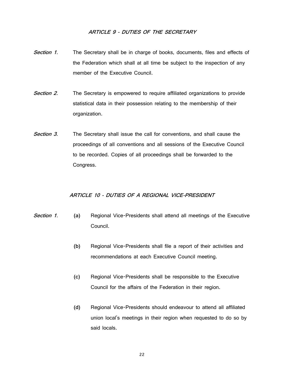#### **ARTICLE 9 - DUTIES OF THE SECRETARY**

- **Section 1.** The Secretary shall be in charge of books, documents, files and effects of the Federation which shall at all time be subject to the inspection of any member of the Executive Council.
- **Section 2.** The Secretary is empowered to require affiliated organizations to provide statistical data in their possession relating to the membership of their organization.
- **Section 3.** The Secretary shall issue the call for conventions, and shall cause the proceedings of all conventions and all sessions of the Executive Council to be recorded. Copies of all proceedings shall be forwarded to the Congress.

#### **ARTICLE 10 - DUTIES OF A REGIONAL VICE-PRESIDENT**

- **Section 1. (a)** Regional Vice-Presidents shall attend all meetings of the Executive Council.
	- **(b)** Regional Vice-Presidents shall file a report of their activities and recommendations at each Executive Council meeting.
	- **(c)** Regional Vice-Presidents shall be responsible to the Executive Council for the affairs of the Federation in their region.
	- **(d)** Regional Vice-Presidents should endeavour to attend all affiliated union local's meetings in their region when requested to do so by said locals.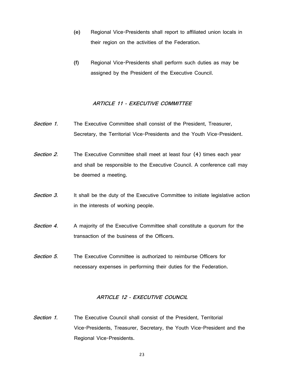- **(e)** Regional Vice-Presidents shall report to affiliated union locals in their region on the activities of the Federation.
- **(f)** Regional Vice-Presidents shall perform such duties as may be assigned by the President of the Executive Council.

#### **ARTICLE 11 - EXECUTIVE COMMITTEE**

- **Section 1.** The Executive Committee shall consist of the President, Treasurer, Secretary, the Territorial Vice-Presidents and the Youth Vice-President.
- **Section 2.** The Executive Committee shall meet at least four (4) times each year and shall be responsible to the Executive Council. A conference call may be deemed a meeting.
- **Section 3.** It shall be the duty of the Executive Committee to initiate legislative action in the interests of working people.
- **Section 4.** A majority of the Executive Committee shall constitute a quorum for the transaction of the business of the Officers.
- **Section 5.** The Executive Committee is authorized to reimburse Officers for necessary expenses in performing their duties for the Federation.

#### **ARTICLE 12 - EXECUTIVE COUNCIL**

**Section 1.** The Executive Council shall consist of the President, Territorial Vice-Presidents, Treasurer, Secretary, the Youth Vice-President and the Regional Vice-Presidents.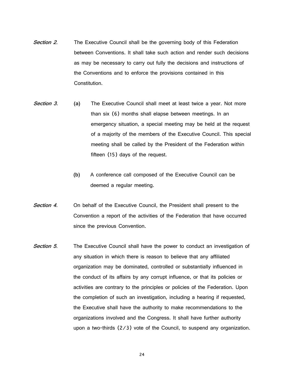- **Section 2.** The Executive Council shall be the governing body of this Federation between Conventions. It shall take such action and render such decisions as may be necessary to carry out fully the decisions and instructions of the Conventions and to enforce the provisions contained in this Constitution.
- **Section 3. (a)** The Executive Council shall meet at least twice a year. Not more than six (6) months shall elapse between meetings. In an emergency situation, a special meeting may be held at the request of a majority of the members of the Executive Council. This special meeting shall be called by the President of the Federation within fifteen (15) days of the request.
	- **(b)** A conference call composed of the Executive Council can be deemed a regular meeting.
- **Section 4.** On behalf of the Executive Council, the President shall present to the Convention a report of the activities of the Federation that have occurred since the previous Convention.
- **Section 5.** The Executive Council shall have the power to conduct an investigation of any situation in which there is reason to believe that any affiliated organization may be dominated, controlled or substantially influenced in the conduct of its affairs by any corrupt influence, or that its policies or activities are contrary to the principles or policies of the Federation. Upon the completion of such an investigation, including a hearing if requested, the Executive shall have the authority to make recommendations to the organizations involved and the Congress. It shall have further authority upon a two-thirds (2/3) vote of the Council, to suspend any organization.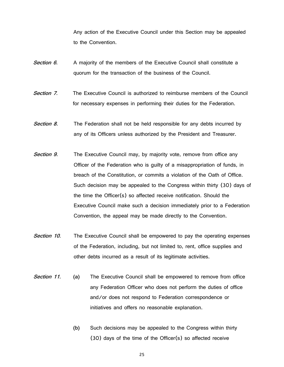Any action of the Executive Council under this Section may be appealed to the Convention.

- **Section 6.** A majority of the members of the Executive Council shall constitute a quorum for the transaction of the business of the Council.
- **Section 7.** The Executive Council is authorized to reimburse members of the Council for necessary expenses in performing their duties for the Federation.
- **Section 8.** The Federation shall not be held responsible for any debts incurred by any of its Officers unless authorized by the President and Treasurer.
- **Section 9.** The Executive Council may, by majority vote, remove from office any Officer of the Federation who is guilty of a misappropriation of funds, in breach of the Constitution, or commits a violation of the Oath of Office. Such decision may be appealed to the Congress within thirty (30) days of the time the Officer(s) so affected receive notification. Should the Executive Council make such a decision immediately prior to a Federation Convention, the appeal may be made directly to the Convention.
- **Section 10.** The Executive Council shall be empowered to pay the operating expenses of the Federation, including, but not limited to, rent, office supplies and other debts incurred as a result of its legitimate activities.
- **Section 11. (a)** The Executive Council shall be empowered to remove from office any Federation Officer who does not perform the duties of office and/or does not respond to Federation correspondence or initiatives and offers no reasonable explanation.
	- **(b)** Such decisions may be appealed to the Congress within thirty (30) days of the time of the Officer(s) so affected receive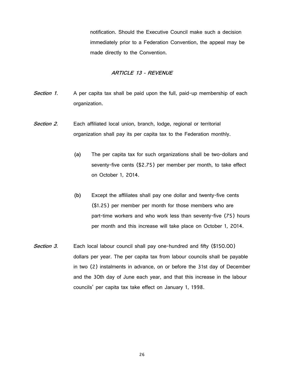notification. Should the Executive Council make such a decision immediately prior to a Federation Convention, the appeal may be made directly to the Convention.

#### **ARTICLE 13 - REVENUE**

- **Section 1.** A per capita tax shall be paid upon the full, paid-up membership of each organization.
- Section 2. Each affiliated local union, branch, lodge, regional or territorial organization shall pay its per capita tax to the Federation monthly.
	- **(a)** The per capita tax for such organizations shall be two-dollars and seventy-five cents (\$2.75) per member per month, to take effect on October 1, 2014.
	- **(b)** Except the affiliates shall pay one dollar and twenty-five cents (\$1.25) per member per month for those members who are part-time workers and who work less than seventy-five (75) hours per month and this increase will take place on October 1, 2014.
- Section 3. Each local labour council shall pay one-hundred and fifty (\$150.00) dollars per year. The per capita tax from labour councils shall be payable in two (2) instalments in advance, on or before the 31st day of December and the 30th day of June each year, and that this increase in the labour councils' per capita tax take effect on January 1, 1998.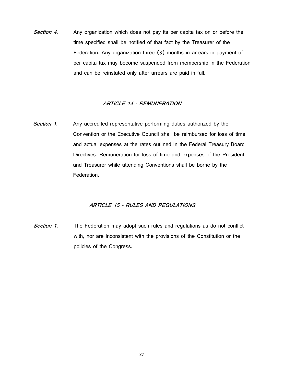**Section 4.** Any organization which does not pay its per capita tax on or before the time specified shall be notified of that fact by the Treasurer of the Federation. Any organization three (3) months in arrears in payment of per capita tax may become suspended from membership in the Federation and can be reinstated only after arrears are paid in full.

#### **ARTICLE 14 - REMUNERATION**

**Section 1.** Any accredited representative performing duties authorized by the Convention or the Executive Council shall be reimbursed for loss of time and actual expenses at the rates outlined in the Federal Treasury Board Directives. Remuneration for loss of time and expenses of the President and Treasurer while attending Conventions shall be borne by the Federation.

#### **ARTICLE 15 - RULES AND REGULATIONS**

**Section 1.** The Federation may adopt such rules and regulations as do not conflict with, nor are inconsistent with the provisions of the Constitution or the policies of the Congress.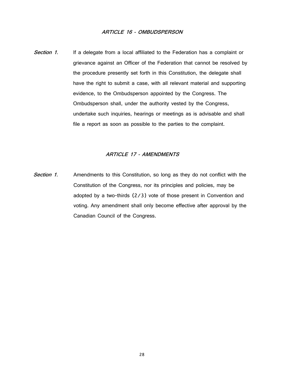#### **ARTICLE 16 - OMBUDSPERSON**

**Section 1.** If a delegate from a local affiliated to the Federation has a complaint or grievance against an Officer of the Federation that cannot be resolved by the procedure presently set forth in this Constitution, the delegate shall have the right to submit a case, with all relevant material and supporting evidence, to the Ombudsperson appointed by the Congress. The Ombudsperson shall, under the authority vested by the Congress, undertake such inquiries, hearings or meetings as is advisable and shall file a report as soon as possible to the parties to the complaint.

#### **ARTICLE 17 - AMENDMENTS**

**Section 1.** Amendments to this Constitution, so long as they do not conflict with the Constitution of the Congress, nor its principles and policies, may be adopted by a two-thirds (2/3) vote of those present in Convention and voting. Any amendment shall only become effective after approval by the Canadian Council of the Congress.